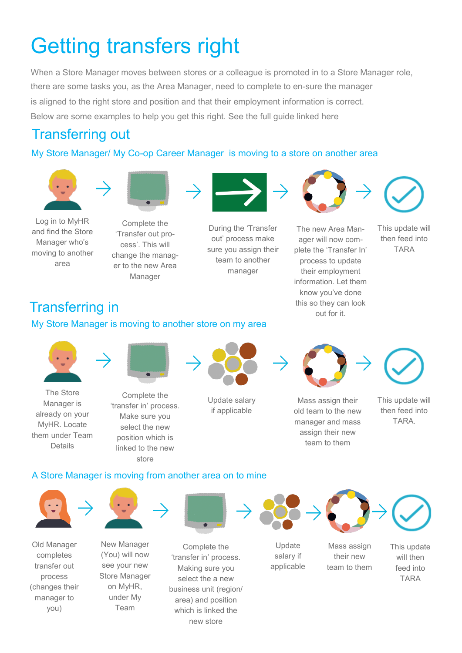# Getting transfers right

When a Store Manager moves between stores or a colleague is promoted in to a Store Manager role, there are some tasks you, as the Area Manager, need to complete to en-sure the manager is aligned to the right store and position and that their employment information is correct. Below are some examples to help you get this right. See the full guide linked [here](https://colleagues.coop.co.uk/working-here/myhr-support-centre)

# Transferring out

#### My Store Manager/ My Co-op Career Manager is moving to a store on another area





Log in to MyHR and find the Store Manager who's moving to another area

Complete the 'Transfer out process'. This will change the manager to the new Area Manager



During the 'Transfer out' process make sure you assign their team to another manager



The new Area Manager will now complete the 'Transfer In' process to update their employment information. Let them know you've done this so they can look

This update will then feed into

#### TARA

# **Transferring in** this so they call this so they call this so they call this so they call this so they call that  $\frac{1}{2}$  cut for it.

#### My Store Manager is moving to another store on my area





The Store Manager is already on your MyHR. Locate them under Team Details

Complete the 'transfer in' process. Make sure you select the new position which is linked to the new



Update salary if applicable



Mass assign their old team to the new manager and mass assign their new team to them

This update will then feed into

**TARA** 

#### A Store Manager is moving from another area on to mine

store



Old Manager completes transfer out process (changes their manager to you)



New Manager (You) will now see your new Store Manager on MyHR, under My Team



Complete the 'transfer in' process. Making sure you select the a new business unit (region/ area) and position which is linked the new store





Update salary if applicable

Mass assign their new team to them



This update will then feed into

TARA